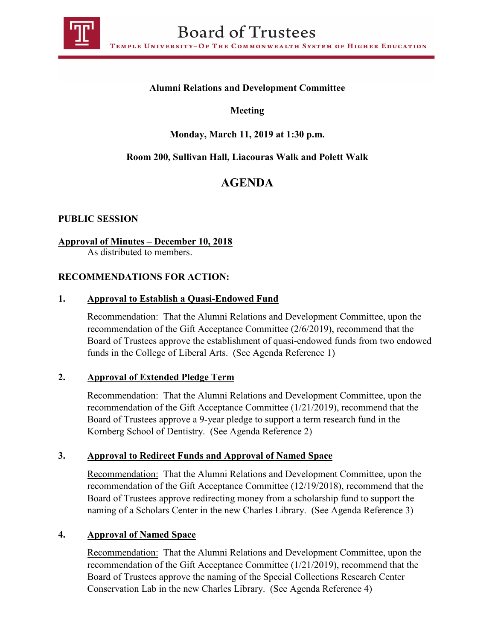

# **Alumni Relations and Development Committee**

## **Meeting**

# **Monday, March 11, 2019 at 1:30 p.m.**

## **Room 200, Sullivan Hall, Liacouras Walk and Polett Walk**

# **AGENDA**

## **PUBLIC SESSION**

## **Approval of Minutes – December 10, 2018**

As distributed to members.

## **RECOMMENDATIONS FOR ACTION:**

## **1. Approval to Establish a Quasi-Endowed Fund**

Recommendation: That the Alumni Relations and Development Committee, upon the recommendation of the Gift Acceptance Committee (2/6/2019), recommend that the Board of Trustees approve the establishment of quasi-endowed funds from two endowed funds in the College of Liberal Arts. (See Agenda Reference 1)

## **2. Approval of Extended Pledge Term**

Recommendation: That the Alumni Relations and Development Committee, upon the recommendation of the Gift Acceptance Committee (1/21/2019), recommend that the Board of Trustees approve a 9-year pledge to support a term research fund in the Kornberg School of Dentistry. (See Agenda Reference 2)

## **3. Approval to Redirect Funds and Approval of Named Space**

Recommendation: That the Alumni Relations and Development Committee, upon the recommendation of the Gift Acceptance Committee (12/19/2018), recommend that the Board of Trustees approve redirecting money from a scholarship fund to support the naming of a Scholars Center in the new Charles Library. (See Agenda Reference 3)

#### **4. Approval of Named Space**

Recommendation: That the Alumni Relations and Development Committee, upon the recommendation of the Gift Acceptance Committee (1/21/2019), recommend that the Board of Trustees approve the naming of the Special Collections Research Center Conservation Lab in the new Charles Library. (See Agenda Reference 4)